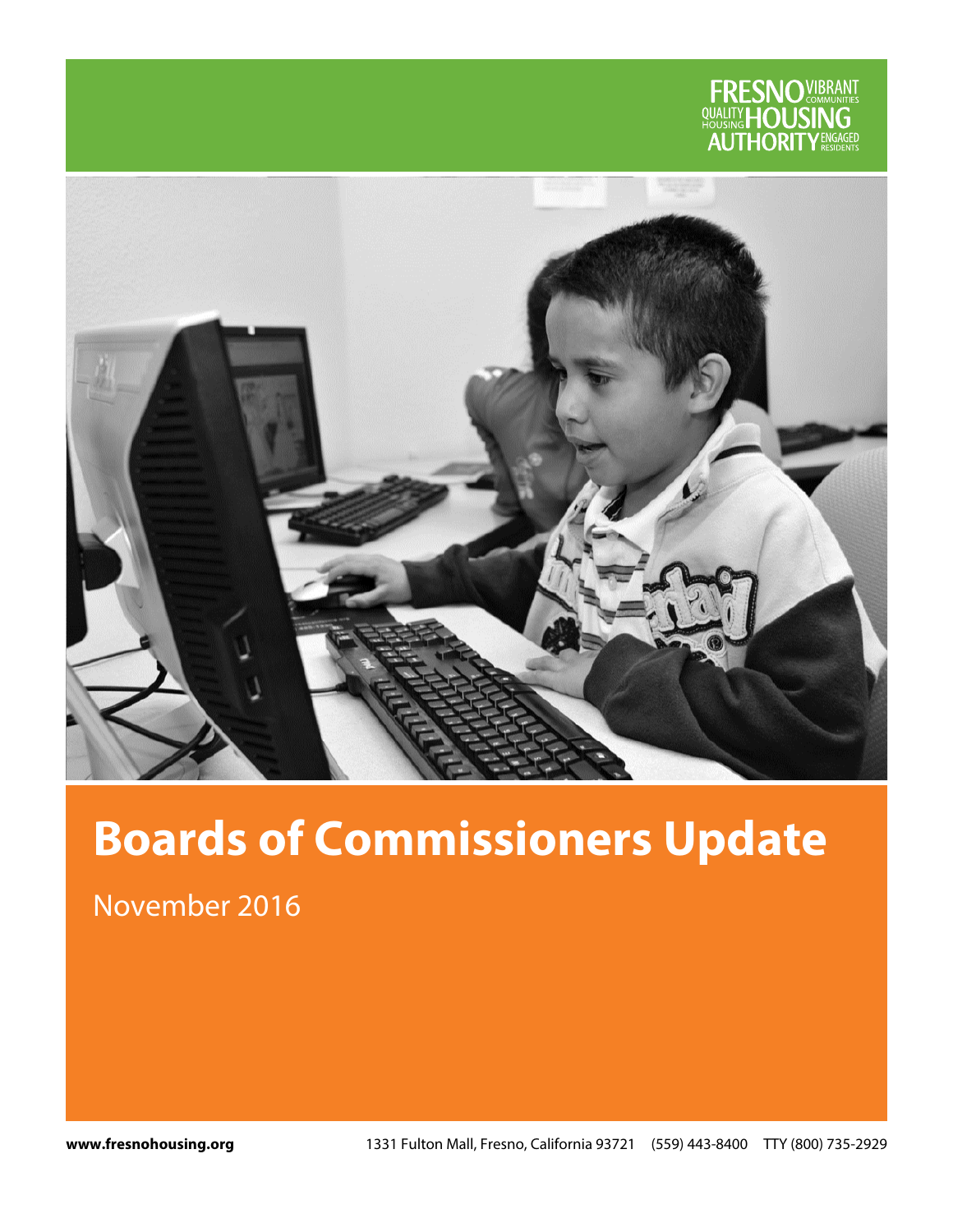



# **Boards of Commissioners Update**

November 2016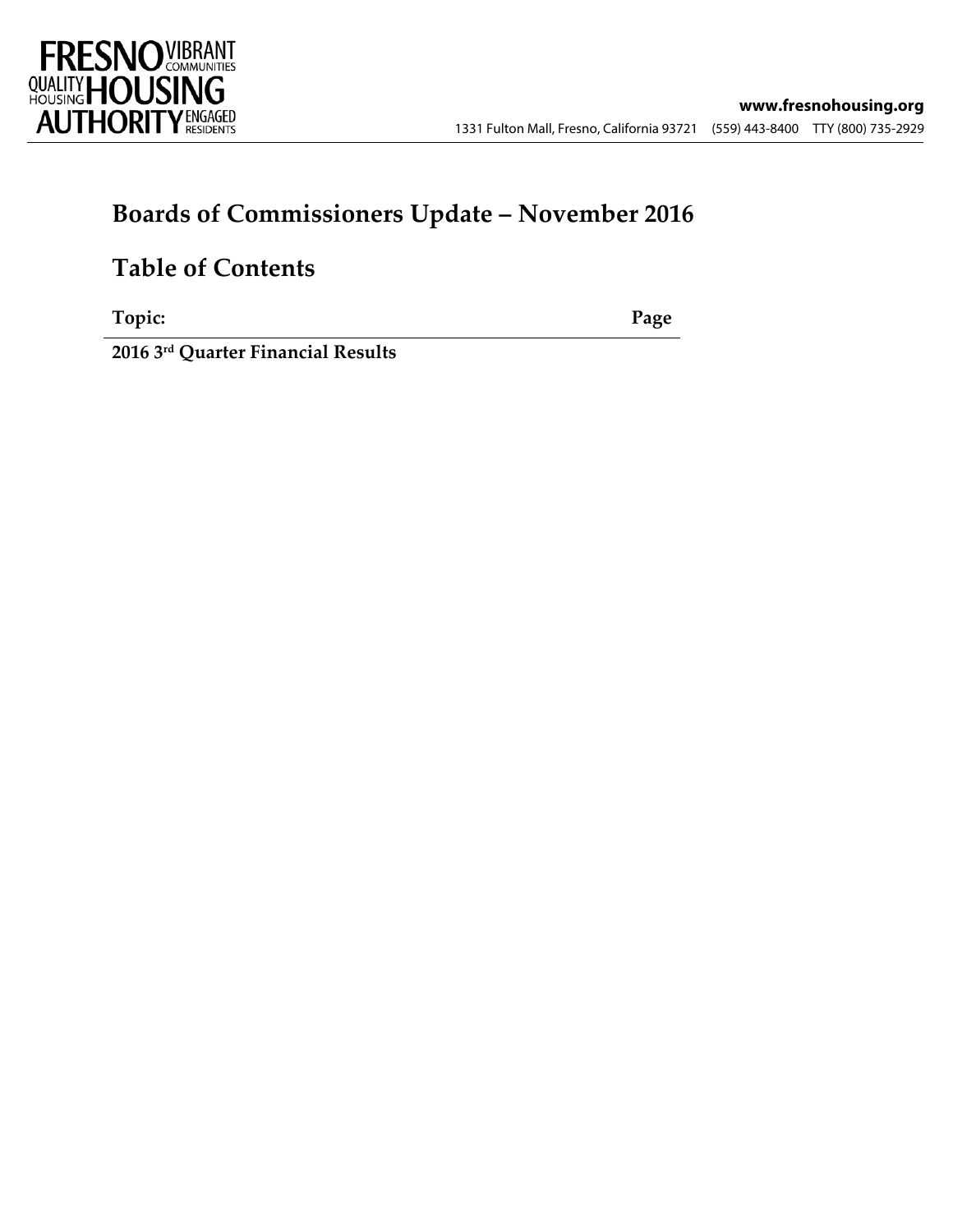

### **Boards of Commissioners Update – November 2016**

### **Table of Contents**

**Topic: Page**

**2016 3rd Quarter Financial Results**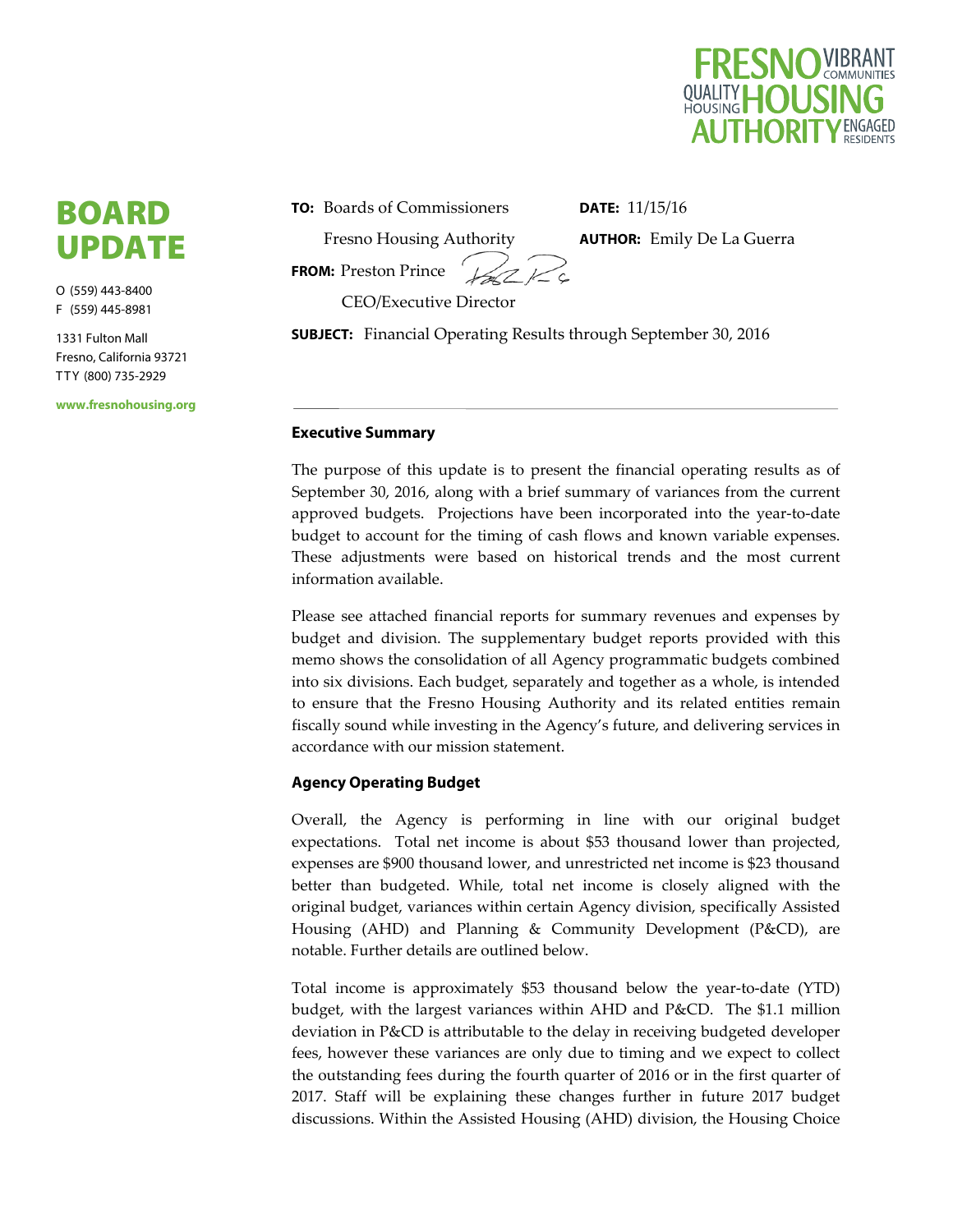

### BOARD UPDATE

O (559) 443-8400 F (559) 445-8981

1331 Fulton Mall Fresno, California 93721 T T Y (800) 735-2929

**www.fresnohousing.org** 

**TO:** Boards of Commissioners

Fresno Housing Authority

**DATE:** 11/15/16

**AUTHOR:** Emily De La Guerra

**FROM:** Preston Prince

CEO/Executive Director

**SUBJECT:** Financial Operating Results through September 30, 2016

#### **Executive Summary**

The purpose of this update is to present the financial operating results as of September 30, 2016, along with a brief summary of variances from the current approved budgets. Projections have been incorporated into the year-to-date budget to account for the timing of cash flows and known variable expenses. These adjustments were based on historical trends and the most current information available.

Please see attached financial reports for summary revenues and expenses by budget and division. The supplementary budget reports provided with this memo shows the consolidation of all Agency programmatic budgets combined into six divisions. Each budget, separately and together as a whole, is intended to ensure that the Fresno Housing Authority and its related entities remain fiscally sound while investing in the Agency's future, and delivering services in accordance with our mission statement.

#### **Agency Operating Budget**

Overall, the Agency is performing in line with our original budget expectations. Total net income is about \$53 thousand lower than projected, expenses are \$900 thousand lower, and unrestricted net income is \$23 thousand better than budgeted. While, total net income is closely aligned with the original budget, variances within certain Agency division, specifically Assisted Housing (AHD) and Planning & Community Development (P&CD), are notable. Further details are outlined below.

Total income is approximately \$53 thousand below the year-to-date (YTD) budget, with the largest variances within AHD and P&CD. The \$1.1 million deviation in P&CD is attributable to the delay in receiving budgeted developer fees, however these variances are only due to timing and we expect to collect the outstanding fees during the fourth quarter of 2016 or in the first quarter of 2017. Staff will be explaining these changes further in future 2017 budget discussions. Within the Assisted Housing (AHD) division, the Housing Choice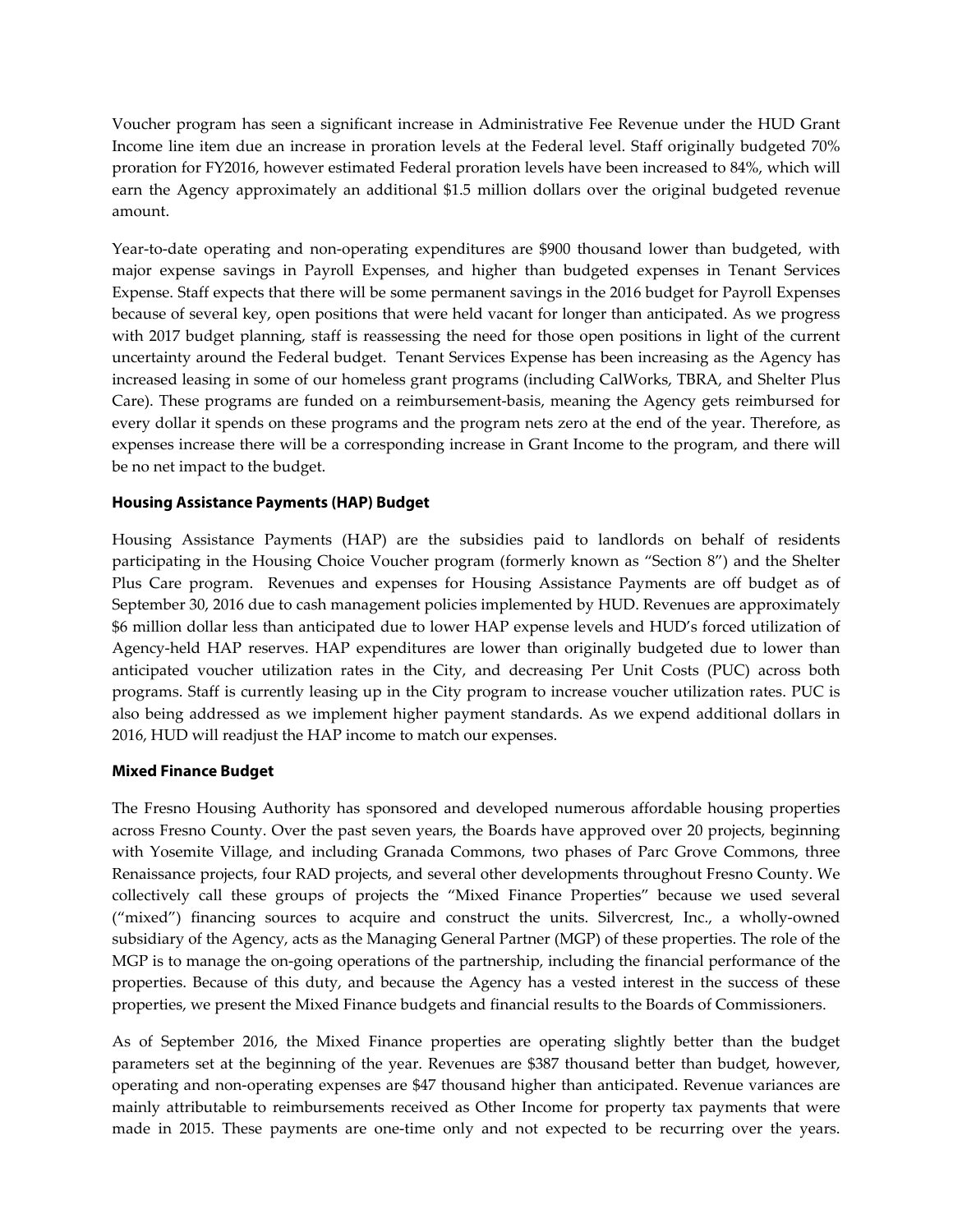Voucher program has seen a significant increase in Administrative Fee Revenue under the HUD Grant Income line item due an increase in proration levels at the Federal level. Staff originally budgeted 70% proration for FY2016, however estimated Federal proration levels have been increased to 84%, which will earn the Agency approximately an additional \$1.5 million dollars over the original budgeted revenue amount.

Year-to-date operating and non-operating expenditures are \$900 thousand lower than budgeted, with major expense savings in Payroll Expenses, and higher than budgeted expenses in Tenant Services Expense. Staff expects that there will be some permanent savings in the 2016 budget for Payroll Expenses because of several key, open positions that were held vacant for longer than anticipated. As we progress with 2017 budget planning, staff is reassessing the need for those open positions in light of the current uncertainty around the Federal budget. Tenant Services Expense has been increasing as the Agency has increased leasing in some of our homeless grant programs (including CalWorks, TBRA, and Shelter Plus Care). These programs are funded on a reimbursement‐basis, meaning the Agency gets reimbursed for every dollar it spends on these programs and the program nets zero at the end of the year. Therefore, as expenses increase there will be a corresponding increase in Grant Income to the program, and there will be no net impact to the budget.

#### **Housing Assistance Payments (HAP) Budget**

Housing Assistance Payments (HAP) are the subsidies paid to landlords on behalf of residents participating in the Housing Choice Voucher program (formerly known as "Section 8") and the Shelter Plus Care program. Revenues and expenses for Housing Assistance Payments are off budget as of September 30, 2016 due to cash management policies implemented by HUD. Revenues are approximately \$6 million dollar less than anticipated due to lower HAP expense levels and HUD's forced utilization of Agency-held HAP reserves. HAP expenditures are lower than originally budgeted due to lower than anticipated voucher utilization rates in the City, and decreasing Per Unit Costs (PUC) across both programs. Staff is currently leasing up in the City program to increase voucher utilization rates. PUC is also being addressed as we implement higher payment standards. As we expend additional dollars in 2016, HUD will readjust the HAP income to match our expenses.

#### **Mixed Finance Budget**

The Fresno Housing Authority has sponsored and developed numerous affordable housing properties across Fresno County. Over the past seven years, the Boards have approved over 20 projects, beginning with Yosemite Village, and including Granada Commons, two phases of Parc Grove Commons, three Renaissance projects, four RAD projects, and several other developments throughout Fresno County. We collectively call these groups of projects the "Mixed Finance Properties" because we used several ("mixed") financing sources to acquire and construct the units. Silvercrest, Inc., a wholly‐owned subsidiary of the Agency, acts as the Managing General Partner (MGP) of these properties. The role of the MGP is to manage the on‐going operations of the partnership, including the financial performance of the properties. Because of this duty, and because the Agency has a vested interest in the success of these properties, we present the Mixed Finance budgets and financial results to the Boards of Commissioners.

As of September 2016, the Mixed Finance properties are operating slightly better than the budget parameters set at the beginning of the year. Revenues are \$387 thousand better than budget, however, operating and non‐operating expenses are \$47 thousand higher than anticipated. Revenue variances are mainly attributable to reimbursements received as Other Income for property tax payments that were made in 2015. These payments are one-time only and not expected to be recurring over the years.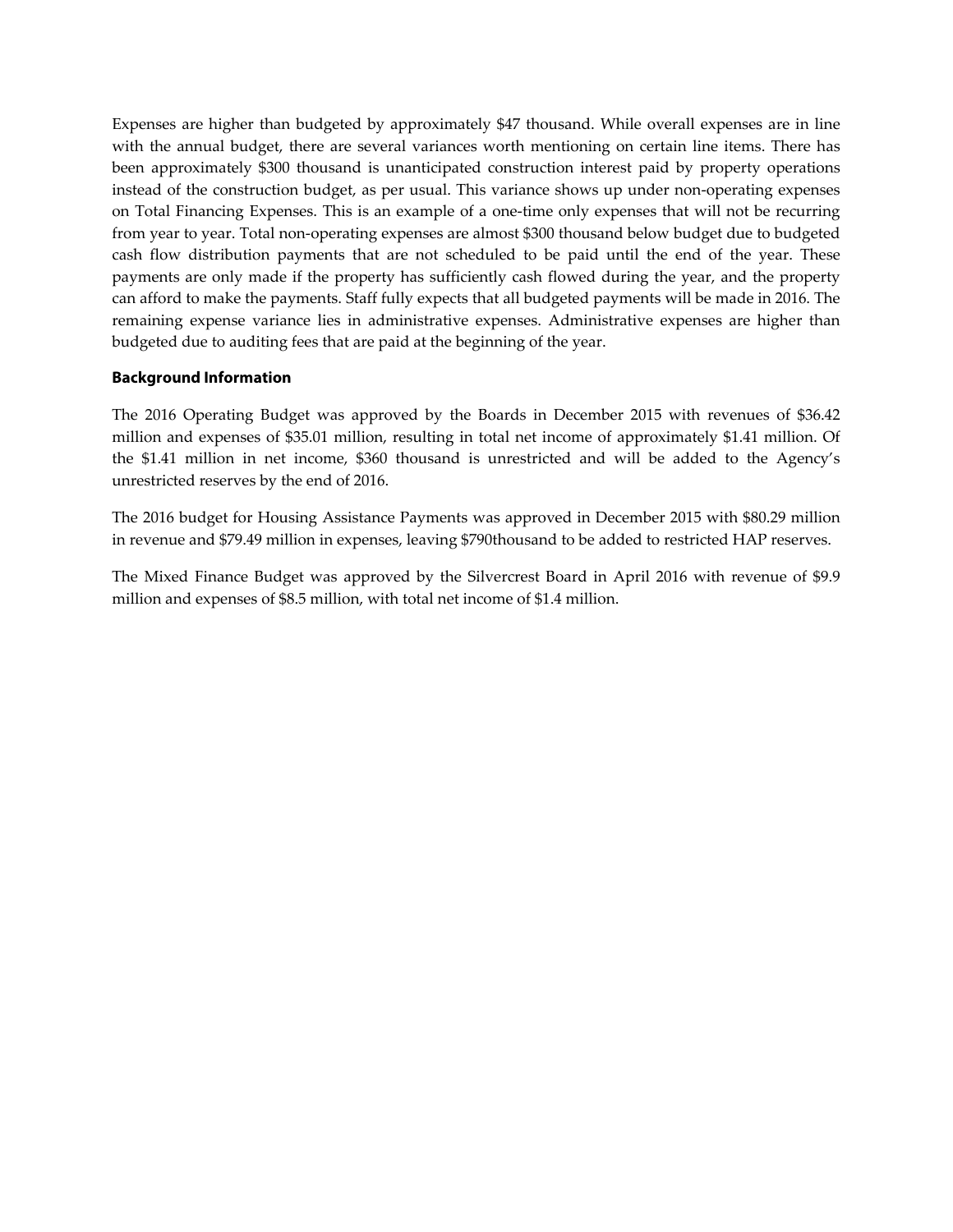Expenses are higher than budgeted by approximately \$47 thousand. While overall expenses are in line with the annual budget, there are several variances worth mentioning on certain line items. There has been approximately \$300 thousand is unanticipated construction interest paid by property operations instead of the construction budget, as per usual. This variance shows up under non‐operating expenses on Total Financing Expenses. This is an example of a one‐time only expenses that will not be recurring from year to year. Total non-operating expenses are almost \$300 thousand below budget due to budgeted cash flow distribution payments that are not scheduled to be paid until the end of the year. These payments are only made if the property has sufficiently cash flowed during the year, and the property can afford to make the payments. Staff fully expects that all budgeted payments will be made in 2016. The remaining expense variance lies in administrative expenses. Administrative expenses are higher than budgeted due to auditing fees that are paid at the beginning of the year.

#### **Background Information**

The 2016 Operating Budget was approved by the Boards in December 2015 with revenues of \$36.42 million and expenses of \$35.01 million, resulting in total net income of approximately \$1.41 million. Of the \$1.41 million in net income, \$360 thousand is unrestricted and will be added to the Agency's unrestricted reserves by the end of 2016.

The 2016 budget for Housing Assistance Payments was approved in December 2015 with \$80.29 million in revenue and \$79.49 million in expenses, leaving \$790thousand to be added to restricted HAP reserves.

The Mixed Finance Budget was approved by the Silvercrest Board in April 2016 with revenue of \$9.9 million and expenses of \$8.5 million, with total net income of \$1.4 million.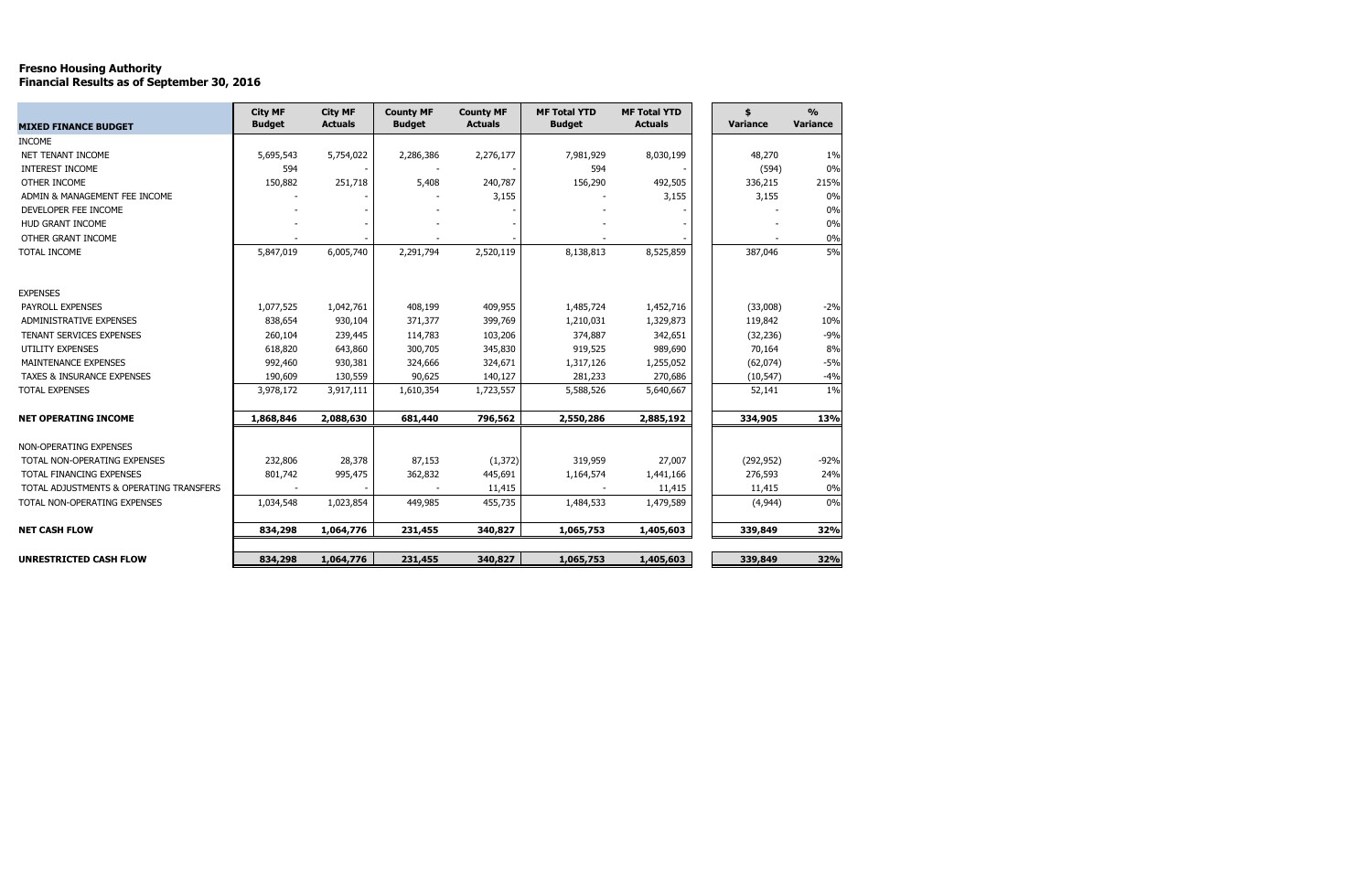# Fresno Housing Authority Financial Results as of September 30, 2016

| <b>MIXED FINANCE BUDGET</b>             | <b>City MF</b><br><b>Budget</b> | <b>City MF</b><br><b>Actuals</b> | <b>County MF</b><br><b>Budget</b> | <b>County MF</b><br><b>Actuals</b> | <b>MF Total YTD</b><br><b>Budget</b> | <b>MF Total YTD</b><br><b>Actuals</b> | \$<br><b>Variance</b> | $\frac{0}{0}$<br><b>Variance</b> |
|-----------------------------------------|---------------------------------|----------------------------------|-----------------------------------|------------------------------------|--------------------------------------|---------------------------------------|-----------------------|----------------------------------|
| <b>INCOME</b>                           |                                 |                                  |                                   |                                    |                                      |                                       |                       |                                  |
| <b>NET TENANT INCOME</b>                | 5,695,543                       | 5,754,022                        | 2,286,386                         | 2,276,177                          | 7,981,929                            | 8,030,199                             | 48,270                | 1%                               |
| INTEREST INCOME                         | 594                             |                                  |                                   |                                    | 594                                  |                                       | (594)                 | $0\%$                            |
| OTHER INCOME                            | 150,882                         | 251,718                          | 5,408                             | 240,787                            | 156,290                              | 492,505                               | 336,215               | 215%                             |
| ADMIN & MANAGEMENT FEE INCOME           |                                 |                                  |                                   | 3,155                              |                                      | 3,155                                 | 3,155                 | 0%                               |
| DEVELOPER FEE INCOME                    |                                 |                                  |                                   |                                    |                                      |                                       |                       | $0\%$                            |
| <b>HUD GRANT INCOME</b>                 |                                 |                                  |                                   |                                    |                                      |                                       |                       | 0%                               |
| OTHER GRANT INCOME                      |                                 |                                  |                                   |                                    |                                      |                                       |                       | $0\%$                            |
| TOTAL INCOME                            | 5,847,019                       | 6,005,740                        | 2,291,794                         | 2,520,119                          | 8,138,813                            | 8,525,859                             | 387,046               | 5%                               |
| <b>EXPENSES</b>                         |                                 |                                  |                                   |                                    |                                      |                                       |                       |                                  |
| PAYROLL EXPENSES                        | 1,077,525                       | 1,042,761                        | 408,199                           | 409,955                            | 1,485,724                            | 1,452,716                             | (33,008)              | $-2%$                            |
| ADMINISTRATIVE EXPENSES                 | 838,654                         | 930,104                          | 371,377                           | 399,769                            | 1,210,031                            | 1,329,873                             | 119,842               | 10%                              |
| <b>TENANT SERVICES EXPENSES</b>         | 260,104                         | 239,445                          | 114,783                           | 103,206                            | 374,887                              | 342,651                               | (32, 236)             | $-9%$                            |
| <b>UTILITY EXPENSES</b>                 | 618,820                         | 643,860                          | 300,705                           | 345,830                            | 919,525                              | 989,690                               | 70,164                | $8\%$                            |
| MAINTENANCE EXPENSES                    | 992,460                         | 930,381                          | 324,666                           | 324,671                            | 1,317,126                            | 1,255,052                             | (62, 074)             | $-5%$                            |
| <b>TAXES &amp; INSURANCE EXPENSES</b>   | 190,609                         | 130,559                          | 90,625                            | 140,127                            | 281,233                              | 270,686                               | (10, 547)             | $-4%$                            |
| <b>TOTAL EXPENSES</b>                   | 3,978,172                       | 3,917,111                        | 1,610,354                         | 1,723,557                          | 5,588,526                            | 5,640,667                             | 52,141                | $1\%$                            |
| <b>NET OPERATING INCOME</b>             | 1,868,846                       | 2,088,630                        | 681,440                           | 796,562                            | 2,550,286                            | 2,885,192                             | 334,905               | 13%                              |
| NON-OPERATING EXPENSES                  |                                 |                                  |                                   |                                    |                                      |                                       |                       |                                  |
| TOTAL NON-OPERATING EXPENSES            | 232,806                         | 28,378                           | 87,153                            | (1, 372)                           | 319,959                              | 27,007                                | (292, 952)            | $-92%$                           |
| TOTAL FINANCING EXPENSES                | 801,742                         | 995,475                          | 362,832                           | 445,691                            | 1,164,574                            | 1,441,166                             | 276,593               | 24%                              |
| TOTAL ADJUSTMENTS & OPERATING TRANSFERS |                                 |                                  |                                   | 11,415                             |                                      | 11,415                                | 11,415                | $0\%$                            |
| TOTAL NON-OPERATING EXPENSES            | 1,034,548                       | 1,023,854                        | 449,985                           | 455,735                            | 1,484,533                            | 1,479,589                             | (4,944)               | 0%                               |
| <b>NET CASH FLOW</b>                    | 834,298                         | 1,064,776                        | 231,455                           | 340,827                            | 1,065,753                            | 1,405,603                             | 339,849               | 32%                              |
| <b>UNRESTRICTED CASH FLOW</b>           | 834,298                         | 1,064,776                        | 231,455                           | 340,827                            | 1,065,753                            | 1,405,603                             | 339,849               | 32%                              |